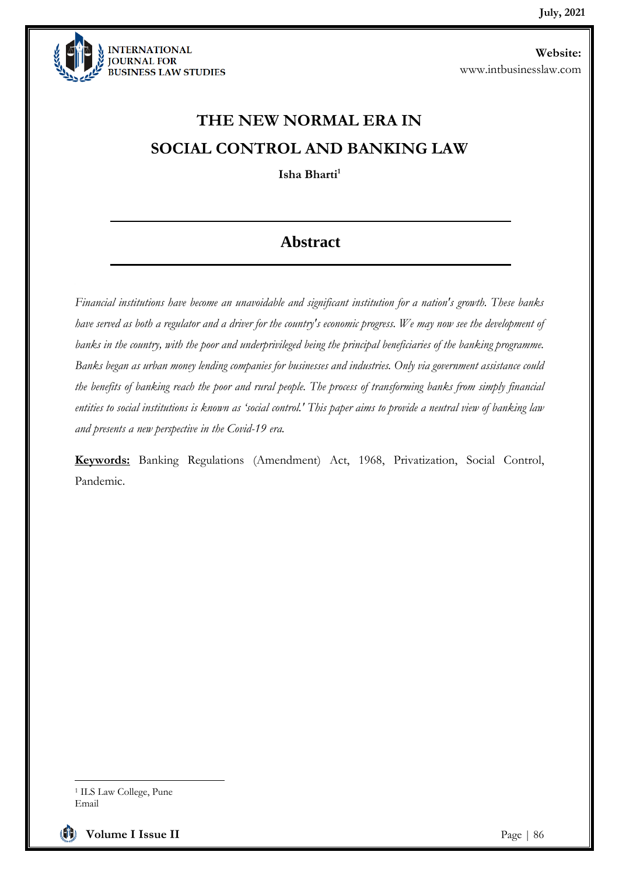

# **THE NEW NORMAL ERA IN SOCIAL CONTROL AND BANKING LAW**

**Isha Bharti<sup>1</sup>**

### **Abstract**

*Financial institutions have become an unavoidable and significant institution for a nation's growth. These banks have served as both a regulator and a driver for the country's economic progress. We may now see the development of*  banks in the country, with the poor and underprivileged being the principal beneficiaries of the banking programme. *Banks began as urban money lending companies for businesses and industries. Only via government assistance could the benefits of banking reach the poor and rural people. The process of transforming banks from simply financial entities to social institutions is known as 'social control.' This paper aims to provide a neutral view of banking law and presents a new perspective in the Covid-19 era.*

**Keywords:** Banking Regulations (Amendment) Act, 1968, Privatization, Social Control, Pandemic.

**Volume I Issue II Page | 86** 

<sup>1</sup> ILS Law College, Pune Email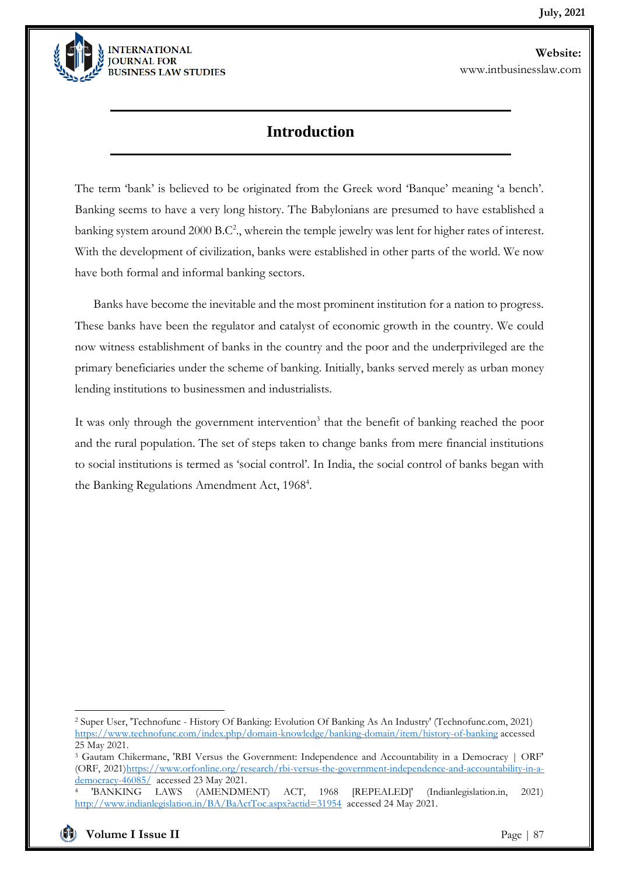

### **Introduction**

The term 'bank' is believed to be originated from the Greek word 'Banque' meaning 'a bench'. Banking seems to have a very long history. The Babylonians are presumed to have established a banking system around 2000 B.C<sup>2</sup>., wherein the temple jewelry was lent for higher rates of interest. With the development of civilization, banks were established in other parts of the world. We now have both formal and informal banking sectors.

Banks have become the inevitable and the most prominent institution for a nation to progress. These banks have been the regulator and catalyst of economic growth in the country. We could now witness establishment of banks in the country and the poor and the underprivileged are the primary beneficiaries under the scheme of banking. Initially, banks served merely as urban money lending institutions to businessmen and industrialists.

It was only through the government intervention<sup>3</sup> that the benefit of banking reached the poor and the rural population. The set of steps taken to change banks from mere financial institutions to social institutions is termed as 'social control'. In India, the social control of banks began with the Banking Regulations Amendment Act, 1968<sup>4</sup>.

<sup>3</sup> Gautam Chikermane, 'RBI Versus the Government: Independence and Accountability in a Democracy | ORF' (ORF, 2021[\)https://www.orfonline.org/research/rbi-versus-the-government-independence-and-accountability-in-a](https://www.orfonline.org/research/rbi-versus-the-government-independence-and-accountability-in-a-democracy-46085/)[democracy-46085/](https://www.orfonline.org/research/rbi-versus-the-government-independence-and-accountability-in-a-democracy-46085/) accessed 23 May 2021.

<sup>2</sup> Super User, 'Technofunc - History Of Banking: Evolution Of Banking As An Industry' (Technofunc.com, 2021) <https://www.technofunc.com/index.php/domain-knowledge/banking-domain/item/history-of-banking> accessed 25 May 2021.

<sup>4</sup> 'BANKING LAWS (AMENDMENT) ACT, 1968 [REPEALED]' (Indianlegislation.in, 2021) <http://www.indianlegislation.in/BA/BaActToc.aspx?actid=31954>accessed 24 May 2021.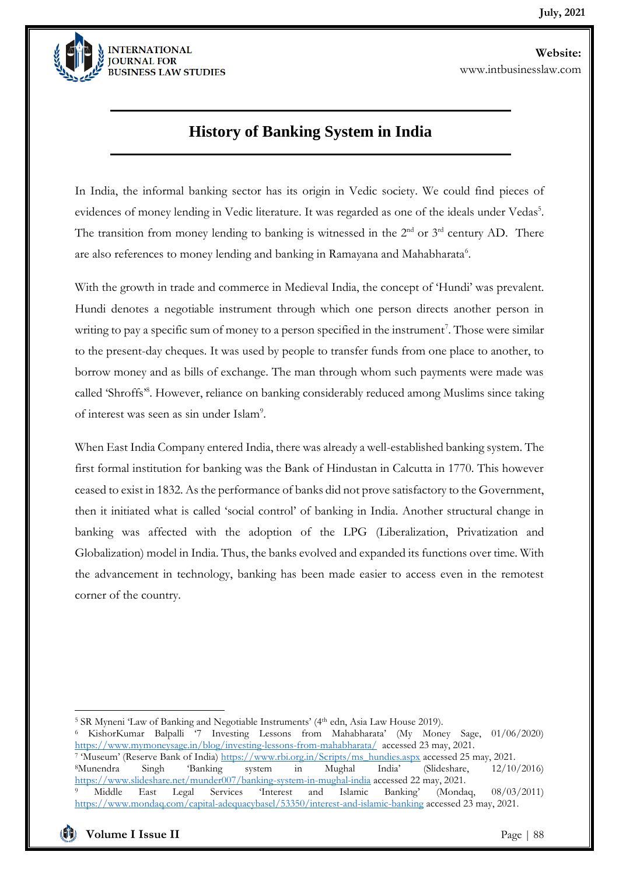

### **History of Banking System in India**

In India, the informal banking sector has its origin in Vedic society. We could find pieces of evidences of money lending in Vedic literature. It was regarded as one of the ideals under Vedas<sup>5</sup>. The transition from money lending to banking is witnessed in the  $2<sup>nd</sup>$  or  $3<sup>rd</sup>$  century AD. There are also references to money lending and banking in Ramayana and Mahabharata<sup>6</sup>.

With the growth in trade and commerce in Medieval India, the concept of 'Hundi' was prevalent. Hundi denotes a negotiable instrument through which one person directs another person in writing to pay a specific sum of money to a person specified in the instrument<sup>7</sup>. Those were similar to the present-day cheques. It was used by people to transfer funds from one place to another, to borrow money and as bills of exchange. The man through whom such payments were made was called 'Shroffs'8. However, reliance on banking considerably reduced among Muslims since taking of interest was seen as sin under Islam<sup>9</sup>.

When East India Company entered India, there was already a well-established banking system. The first formal institution for banking was the Bank of Hindustan in Calcutta in 1770. This however ceased to exist in 1832. As the performance of banks did not prove satisfactory to the Government, then it initiated what is called 'social control' of banking in India. Another structural change in banking was affected with the adoption of the LPG (Liberalization, Privatization and Globalization) model in India. Thus, the banks evolved and expanded its functions over time. With the advancement in technology, banking has been made easier to access even in the remotest corner of the country.

<sup>&</sup>lt;sup>5</sup> SR Myneni 'Law of Banking and Negotiable Instruments' (4<sup>th</sup> edn, Asia Law House 2019).

<sup>6</sup> KishorKumar Balpalli '7 Investing Lessons from Mahabharata' (My Money Sage, 01/06/2020) <https://www.mymoneysage.in/blog/investing-lessons-from-mahabharata/>accessed 23 may, 2021. <sup>7</sup> 'Museum' (Reserve Bank of India[\) https://www.rbi.org.in/Scripts/ms\\_hundies.aspx](https://www.rbi.org.in/Scripts/ms_hundies.aspx) accessed 25 may, 2021. <sup>8</sup>Munendra Singh 'Banking system in Mughal India' (Slideshare, 12/10/2016) <https://www.slideshare.net/munder007/banking-system-in-mughal-india> accessed 22 may, 2021. <sup>9</sup> Middle East Legal Services 'Interest and Islamic Banking' (Mondaq, 08/03/2011) <https://www.mondaq.com/capital-adequacybasel/53350/interest-and-islamic-banking> accessed 23 may, 2021.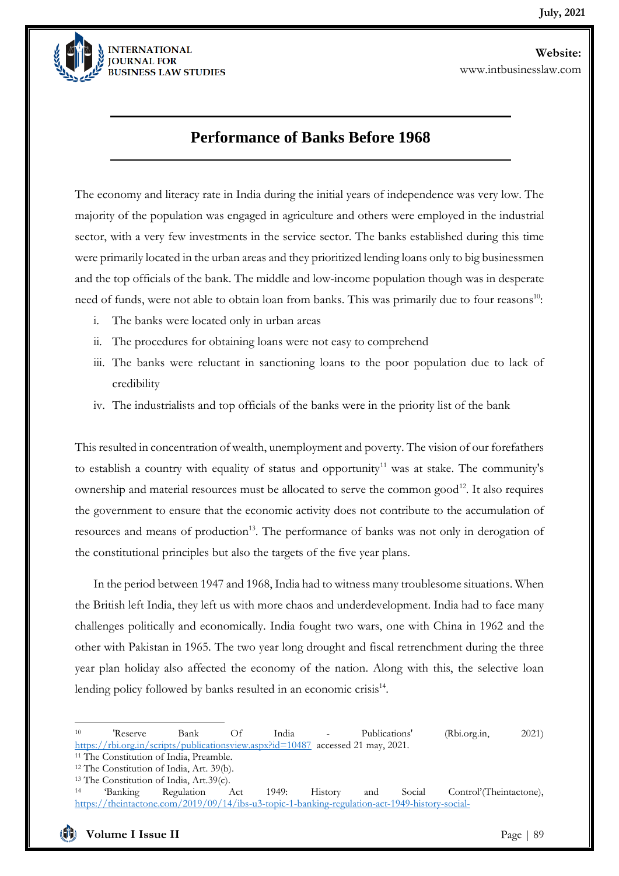

### **Performance of Banks Before 1968**

The economy and literacy rate in India during the initial years of independence was very low. The majority of the population was engaged in agriculture and others were employed in the industrial sector, with a very few investments in the service sector. The banks established during this time were primarily located in the urban areas and they prioritized lending loans only to big businessmen and the top officials of the bank. The middle and low-income population though was in desperate need of funds, were not able to obtain loan from banks. This was primarily due to four reasons<sup>10</sup>:

- i. The banks were located only in urban areas
- ii. The procedures for obtaining loans were not easy to comprehend

- iii. The banks were reluctant in sanctioning loans to the poor population due to lack of credibility
- iv. The industrialists and top officials of the banks were in the priority list of the bank

This resulted in concentration of wealth, unemployment and poverty. The vision of our forefathers to establish a country with equality of status and opportunity<sup>11</sup> was at stake. The community's ownership and material resources must be allocated to serve the common good<sup>12</sup>. It also requires the government to ensure that the economic activity does not contribute to the accumulation of resources and means of production<sup>13</sup>. The performance of banks was not only in derogation of the constitutional principles but also the targets of the five year plans.

In the period between 1947 and 1968, India had to witness many troublesome situations. When the British left India, they left us with more chaos and underdevelopment. India had to face many challenges politically and economically. India fought two wars, one with China in 1962 and the other with Pakistan in 1965. The two year long drought and fiscal retrenchment during the three year plan holiday also affected the economy of the nation. Along with this, the selective loan lending policy followed by banks resulted in an economic crisis<sup>14</sup>.

<sup>10</sup> 'Reserve Bank Of India - Publications' (Rbi.org.in, 2021) <https://rbi.org.in/scripts/publicationsview.aspx?id=10487>accessed 21 may, 2021.

<sup>&</sup>lt;sup>11</sup> The Constitution of India, Preamble.

<sup>12</sup> The Constitution of India, Art. 39(b). <sup>13</sup> The Constitution of India, Art.39(c).

<sup>14</sup> 'Banking Regulation Act 1949: History and Social Control'(Theintactone), [https://theintactone.com/2019/09/14/ibs-u3-topic-1-banking-regulation-act-1949-history-social-](https://theintactone.com/2019/09/14/ibs-u3-topic-1-banking-regulation-act-1949-history-social-control/#:~:text=In%201955%20the%20Imperial%20Bank,nationalised%20and%20SBI%20was%20constituted.&text=To%20overcome%20these%20deficiencies%20found,social%20control)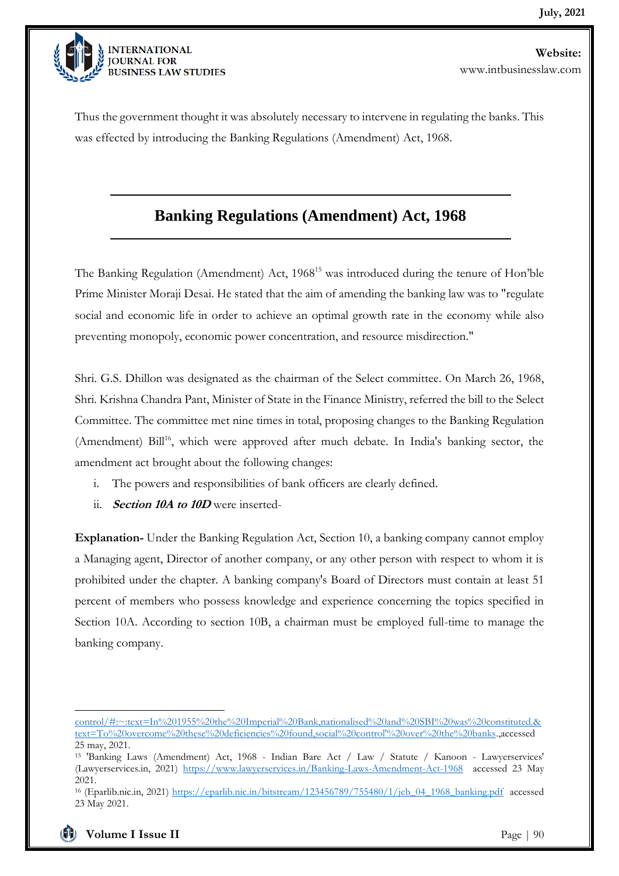

Thus the government thought it was absolutely necessary to intervene in regulating the banks. This was effected by introducing the Banking Regulations (Amendment) Act, 1968.

### **Banking Regulations (Amendment) Act, 1968**

The Banking Regulation (Amendment) Act, 1968<sup>15</sup> was introduced during the tenure of Hon'ble Prime Minister Moraji Desai. He stated that the aim of amending the banking law was to "regulate social and economic life in order to achieve an optimal growth rate in the economy while also preventing monopoly, economic power concentration, and resource misdirection."

Shri. G.S. Dhillon was designated as the chairman of the Select committee. On March 26, 1968, Shri. Krishna Chandra Pant, Minister of State in the Finance Ministry, referred the bill to the Select Committee. The committee met nine times in total, proposing changes to the Banking Regulation (Amendment) Bill<sup>16</sup>, which were approved after much debate. In India's banking sector, the amendment act brought about the following changes:

- i. The powers and responsibilities of bank officers are clearly defined.
- ii. **Section 10A to 10D** were inserted-

**Explanation-** Under the Banking Regulation Act, Section 10, a banking company cannot employ a Managing agent, Director of another company, or any other person with respect to whom it is prohibited under the chapter. A banking company's Board of Directors must contain at least 51 percent of members who possess knowledge and experience concerning the topics specified in Section 10A. According to section 10B, a chairman must be employed full-time to manage the banking company.

[control/#:~:text=In%201955%20the%20Imperial%20Bank,nationalised%20and%20SBI%20was%20constituted.&](https://theintactone.com/2019/09/14/ibs-u3-topic-1-banking-regulation-act-1949-history-social-control/#:~:text=In%201955%20the%20Imperial%20Bank,nationalised%20and%20SBI%20was%20constituted.&text=To%20overcome%20these%20deficiencies%20found,social%20control) [text=To%20overcome%20these%20deficiencies%20found,social%20control'%20over%20the%20banks.,](https://theintactone.com/2019/09/14/ibs-u3-topic-1-banking-regulation-act-1949-history-social-control/#:~:text=In%201955%20the%20Imperial%20Bank,nationalised%20and%20SBI%20was%20constituted.&text=To%20overcome%20these%20deficiencies%20found,social%20control)accessed 25 may, 2021.

<sup>15</sup> 'Banking Laws (Amendment) Act, 1968 - Indian Bare Act / Law / Statute / Kanoon - Lawyerservices' (Lawyerservices.in, 2021) <https://www.lawyerservices.in/Banking-Laws-Amendment-Act-1968>accessed 23 May 2021.

<sup>&</sup>lt;sup>16</sup> (Eparlib.nic.in, 2021) [https://eparlib.nic.in/bitstream/123456789/755480/1/jcb\\_04\\_1968\\_banking.pdf](https://eparlib.nic.in/bitstream/123456789/755480/1/jcb_04_1968_banking.pdf) accessed 23 May 2021.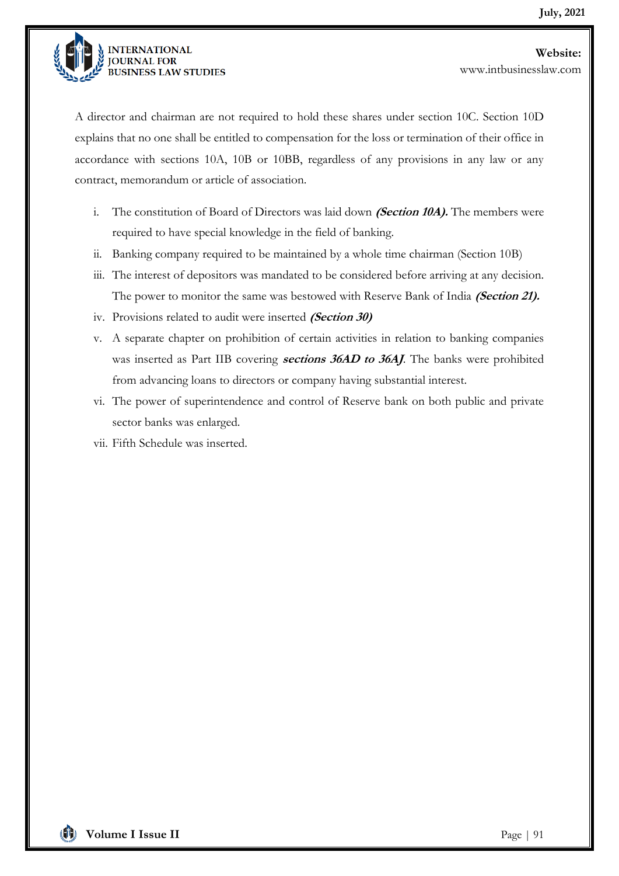

A director and chairman are not required to hold these shares under section 10C. Section 10D explains that no one shall be entitled to compensation for the loss or termination of their office in accordance with sections 10A, 10B or 10BB, regardless of any provisions in any law or any contract, memorandum or article of association.

- i. The constitution of Board of Directors was laid down **(Section 10A).** The members were required to have special knowledge in the field of banking.
- ii. Banking company required to be maintained by a whole time chairman (Section 10B)
- iii. The interest of depositors was mandated to be considered before arriving at any decision. The power to monitor the same was bestowed with Reserve Bank of India **(Section 21).**
- iv. Provisions related to audit were inserted **(Section 30)**

- v. A separate chapter on prohibition of certain activities in relation to banking companies was inserted as Part IIB covering **sections 36AD to 36AJ**. The banks were prohibited from advancing loans to directors or company having substantial interest.
- vi. The power of superintendence and control of Reserve bank on both public and private sector banks was enlarged.
- vii. Fifth Schedule was inserted.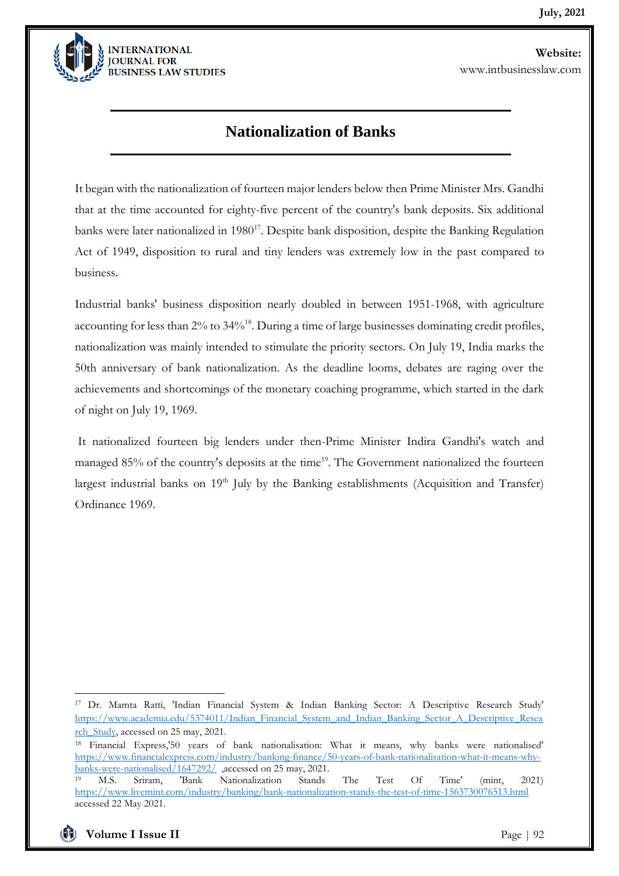

### **Nationalization of Banks**

It began with the nationalization of fourteen major lenders below then Prime Minister Mrs. Gandhi that at the time accounted for eighty-five percent of the country's bank deposits. Six additional banks were later nationalized in  $1980^{17}$ . Despite bank disposition, despite the Banking Regulation Act of 1949, disposition to rural and tiny lenders was extremely low in the past compared to business.

Industrial banks' business disposition nearly doubled in between 1951-1968, with agriculture accounting for less than 2% to 34%<sup>18</sup>. During a time of large businesses dominating credit profiles, nationalization was mainly intended to stimulate the priority sectors. On July 19, India marks the 50th anniversary of bank nationalization. As the deadline looms, debates are raging over the achievements and shortcomings of the monetary coaching programme, which started in the dark of night on July 19, 1969.

It nationalized fourteen big lenders under then-Prime Minister Indira Gandhi's watch and managed 85% of the country's deposits at the time<sup>19</sup>. The Government nationalized the fourteen largest industrial banks on 19<sup>th</sup> July by the Banking establishments (Acquisition and Transfer) Ordinance 1969.

<sup>17</sup> Dr. Mamta Ratti, 'Indian Financial System & Indian Banking Sector: A Descriptive Research Study' [https://www.academia.edu/5374011/Indian\\_Financial\\_System\\_and\\_Indian\\_Banking\\_Sector\\_A\\_Descriptive\\_Resea](https://www.academia.edu/5374011/Indian_Financial_System_and_Indian_Banking_Sector_A_Descriptive_Research_Study) [rch\\_Study,](https://www.academia.edu/5374011/Indian_Financial_System_and_Indian_Banking_Sector_A_Descriptive_Research_Study) accessed on 25 may, 2021.

<sup>18</sup> Financial Express,'50 years of bank nationalisation: What it means, why banks were nationalised' [https://www.financialexpress.com/industry/banking-finance/50-years-of-bank-nationalisation-what-it-means-why](https://www.financialexpress.com/industry/banking-finance/50-years-of-bank-nationalisation-what-it-means-why-banks-were-nationalised/1647292/)[banks-were-nationalised/1647292/](https://www.financialexpress.com/industry/banking-finance/50-years-of-bank-nationalisation-what-it-means-why-banks-were-nationalised/1647292/) ,accessed on 25 may, 2021.

<sup>19</sup> M.S. Sriram, 'Bank Nationalization Stands The Test Of Time' (mint, 2021) <https://www.livemint.com/industry/banking/bank-nationalization-stands-the-test-of-time-1563730076513.html> accessed 22 May 2021.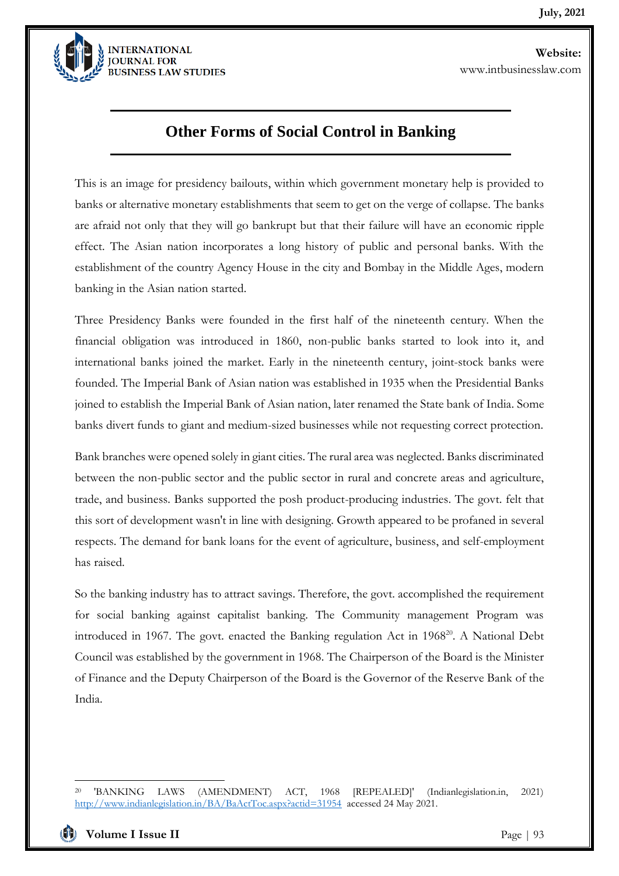

### **Other Forms of Social Control in Banking**

This is an image for presidency bailouts, within which government monetary help is provided to banks or alternative monetary establishments that seem to get on the verge of collapse. The banks are afraid not only that they will go bankrupt but that their failure will have an economic ripple effect. The Asian nation incorporates a long history of public and personal banks. With the establishment of the country Agency House in the city and Bombay in the Middle Ages, modern banking in the Asian nation started.

Three Presidency Banks were founded in the first half of the nineteenth century. When the financial obligation was introduced in 1860, non-public banks started to look into it, and international banks joined the market. Early in the nineteenth century, joint-stock banks were founded. The Imperial Bank of Asian nation was established in 1935 when the Presidential Banks joined to establish the Imperial Bank of Asian nation, later renamed the State bank of India. Some banks divert funds to giant and medium-sized businesses while not requesting correct protection.

Bank branches were opened solely in giant cities. The rural area was neglected. Banks discriminated between the non-public sector and the public sector in rural and concrete areas and agriculture, trade, and business. Banks supported the posh product-producing industries. The govt. felt that this sort of development wasn't in line with designing. Growth appeared to be profaned in several respects. The demand for bank loans for the event of agriculture, business, and self-employment has raised.

So the banking industry has to attract savings. Therefore, the govt. accomplished the requirement for social banking against capitalist banking. The Community management Program was introduced in 1967. The govt. enacted the Banking regulation Act in 1968<sup>20</sup>. A National Debt Council was established by the government in 1968. The Chairperson of the Board is the Minister of Finance and the Deputy Chairperson of the Board is the Governor of the Reserve Bank of the India.

<sup>20</sup> 'BANKING LAWS (AMENDMENT) ACT, 1968 [REPEALED]' (Indianlegislation.in, 2021) <http://www.indianlegislation.in/BA/BaActToc.aspx?actid=31954>accessed 24 May 2021.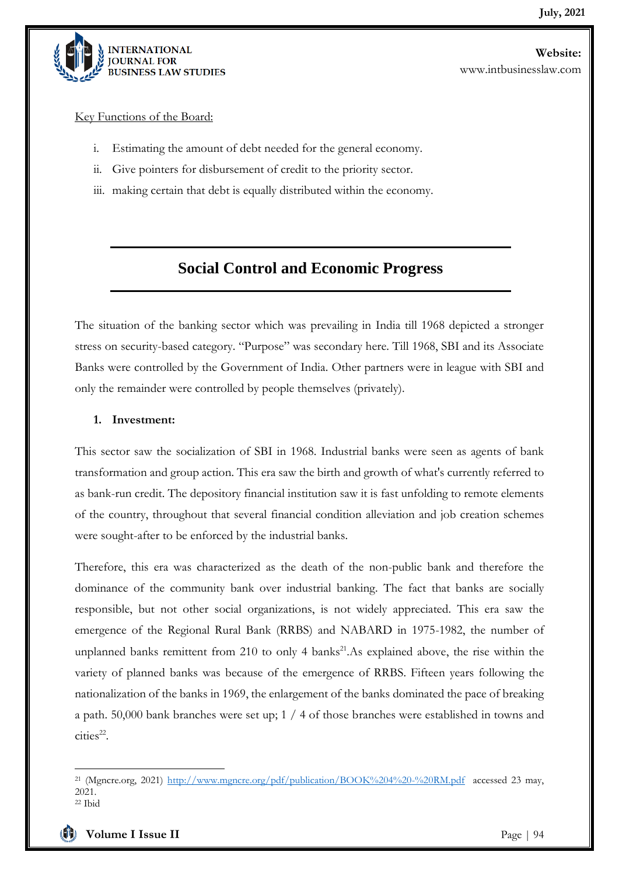

Key Functions of the Board:

i. Estimating the amount of debt needed for the general economy.

- ii. Give pointers for disbursement of credit to the priority sector.
- iii. making certain that debt is equally distributed within the economy.

### **Social Control and Economic Progress**

The situation of the banking sector which was prevailing in India till 1968 depicted a stronger stress on security-based category. "Purpose" was secondary here. Till 1968, SBI and its Associate Banks were controlled by the Government of India. Other partners were in league with SBI and only the remainder were controlled by people themselves (privately).

#### **1. Investment:**

This sector saw the socialization of SBI in 1968. Industrial banks were seen as agents of bank transformation and group action. This era saw the birth and growth of what's currently referred to as bank-run credit. The depository financial institution saw it is fast unfolding to remote elements of the country, throughout that several financial condition alleviation and job creation schemes were sought-after to be enforced by the industrial banks.

Therefore, this era was characterized as the death of the non-public bank and therefore the dominance of the community bank over industrial banking. The fact that banks are socially responsible, but not other social organizations, is not widely appreciated. This era saw the emergence of the Regional Rural Bank (RRBS) and NABARD in 1975-1982, the number of unplanned banks remittent from 210 to only 4 banks<sup>21</sup>. As explained above, the rise within the variety of planned banks was because of the emergence of RRBS. Fifteen years following the nationalization of the banks in 1969, the enlargement of the banks dominated the pace of breaking a path. 50,000 bank branches were set up; 1 / 4 of those branches were established in towns and  $\text{cities}^{22}$ .

<sup>&</sup>lt;sup>21</sup> (Mgncre.org, 2021)<http://www.mgncre.org/pdf/publication/BOOK%204%20-%20RM.pdf>accessed 23 may, 2021.  $22$  Ibid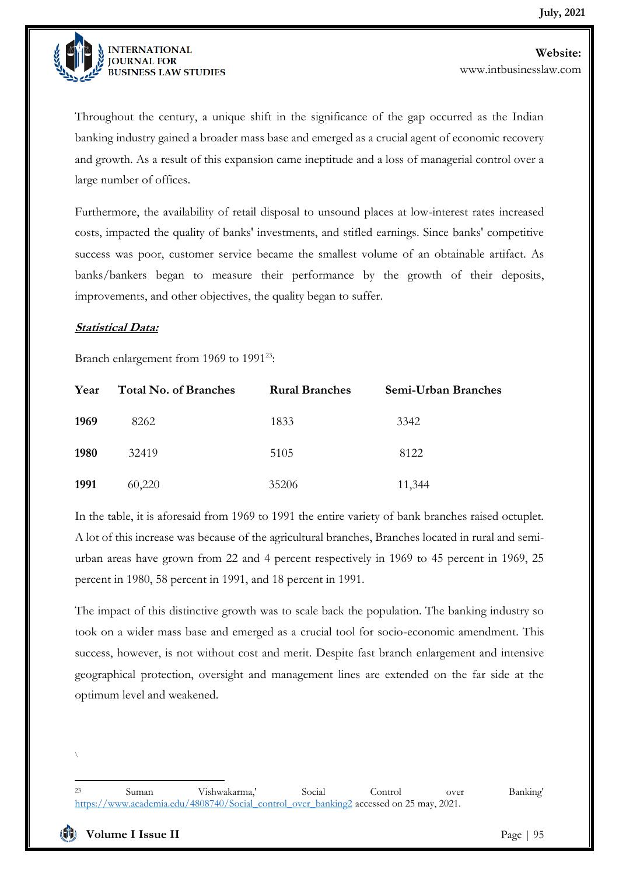

**Website:** 

www.intbusinesslaw.com

Throughout the century, a unique shift in the significance of the gap occurred as the Indian banking industry gained a broader mass base and emerged as a crucial agent of economic recovery and growth. As a result of this expansion came ineptitude and a loss of managerial control over a large number of offices.

Furthermore, the availability of retail disposal to unsound places at low-interest rates increased costs, impacted the quality of banks' investments, and stifled earnings. Since banks' competitive success was poor, customer service became the smallest volume of an obtainable artifact. As banks/bankers began to measure their performance by the growth of their deposits, improvements, and other objectives, the quality began to suffer.

#### **Statistical Data:**

Branch enlargement from 1969 to 1991<sup>23</sup>:

| Year | <b>Total No. of Branches</b> | <b>Rural Branches</b> | Semi-Urban Branches |
|------|------------------------------|-----------------------|---------------------|
| 1969 | 8262                         | 1833                  | 3342                |
| 1980 | 32419                        | 5105                  | 8122                |
| 1991 | 60,220                       | 35206                 | 11,344              |

In the table, it is aforesaid from 1969 to 1991 the entire variety of bank branches raised octuplet. A lot of this increase was because of the agricultural branches, Branches located in rural and semiurban areas have grown from 22 and 4 percent respectively in 1969 to 45 percent in 1969, 25 percent in 1980, 58 percent in 1991, and 18 percent in 1991.

The impact of this distinctive growth was to scale back the population. The banking industry so took on a wider mass base and emerged as a crucial tool for socio-economic amendment. This success, however, is not without cost and merit. Despite fast branch enlargement and intensive geographical protection, oversight and management lines are extended on the far side at the optimum level and weakened.

<sup>\</sup>

<sup>23</sup> Suman Vishwakarma,' Social Control over Banking' [https://www.academia.edu/4808740/Social\\_control\\_over\\_banking2](https://www.academia.edu/4808740/Social_control_over_banking2) accessed on 25 may, 2021.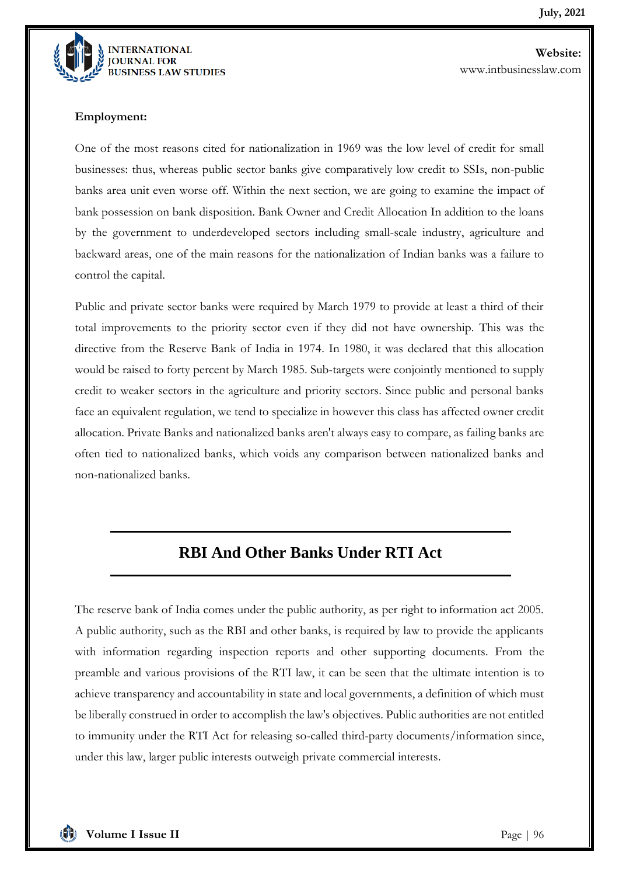

**Website:**  www.intbusinesslaw.com

#### **Employment:**

One of the most reasons cited for nationalization in 1969 was the low level of credit for small businesses: thus, whereas public sector banks give comparatively low credit to SSIs, non-public banks area unit even worse off. Within the next section, we are going to examine the impact of bank possession on bank disposition. Bank Owner and Credit Allocation In addition to the loans by the government to underdeveloped sectors including small-scale industry, agriculture and backward areas, one of the main reasons for the nationalization of Indian banks was a failure to control the capital.

Public and private sector banks were required by March 1979 to provide at least a third of their total improvements to the priority sector even if they did not have ownership. This was the directive from the Reserve Bank of India in 1974. In 1980, it was declared that this allocation would be raised to forty percent by March 1985. Sub-targets were conjointly mentioned to supply credit to weaker sectors in the agriculture and priority sectors. Since public and personal banks face an equivalent regulation, we tend to specialize in however this class has affected owner credit allocation. Private Banks and nationalized banks aren't always easy to compare, as failing banks are often tied to nationalized banks, which voids any comparison between nationalized banks and non-nationalized banks.

### **RBI And Other Banks Under RTI Act**

The reserve bank of India comes under the public authority, as per right to information act 2005. A public authority, such as the RBI and other banks, is required by law to provide the applicants with information regarding inspection reports and other supporting documents. From the preamble and various provisions of the RTI law, it can be seen that the ultimate intention is to achieve transparency and accountability in state and local governments, a definition of which must be liberally construed in order to accomplish the law's objectives. Public authorities are not entitled to immunity under the RTI Act for releasing so-called third-party documents/information since, under this law, larger public interests outweigh private commercial interests.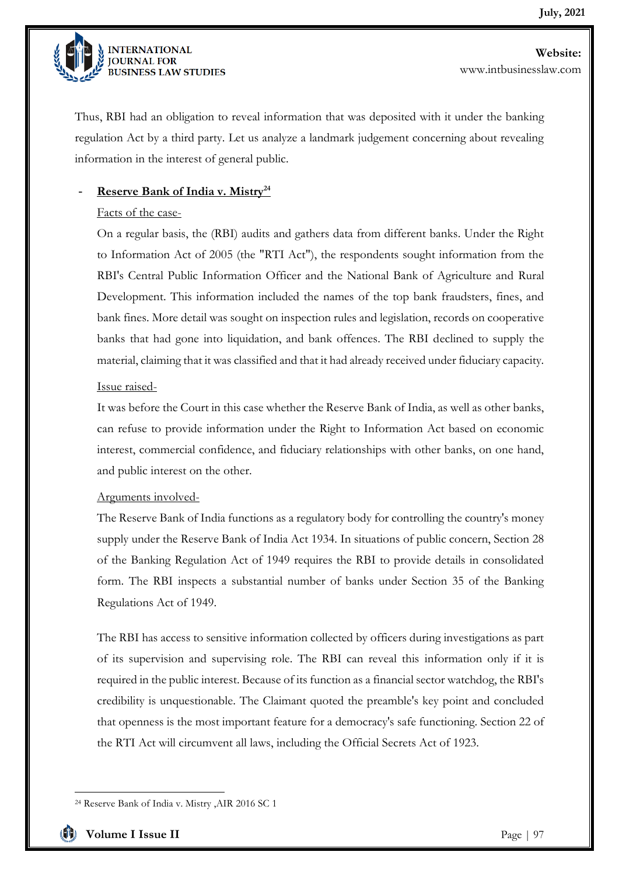

Thus, RBI had an obligation to reveal information that was deposited with it under the banking regulation Act by a third party. Let us analyze a landmark judgement concerning about revealing information in the interest of general public.

#### - **Reserve Bank of India v. Mistry<sup>24</sup>**

#### Facts of the case-

On a regular basis, the (RBI) audits and gathers data from different banks. Under the Right to Information Act of 2005 (the "RTI Act"), the respondents sought information from the RBI's Central Public Information Officer and the National Bank of Agriculture and Rural Development. This information included the names of the top bank fraudsters, fines, and bank fines. More detail was sought on inspection rules and legislation, records on cooperative banks that had gone into liquidation, and bank offences. The RBI declined to supply the material, claiming that it was classified and that it had already received under fiduciary capacity.

#### Issue raised-

It was before the Court in this case whether the Reserve Bank of India, as well as other banks, can refuse to provide information under the Right to Information Act based on economic interest, commercial confidence, and fiduciary relationships with other banks, on one hand, and public interest on the other.

#### Arguments involved-

The Reserve Bank of India functions as a regulatory body for controlling the country's money supply under the Reserve Bank of India Act 1934. In situations of public concern, Section 28 of the Banking Regulation Act of 1949 requires the RBI to provide details in consolidated form. The RBI inspects a substantial number of banks under Section 35 of the Banking Regulations Act of 1949.

The RBI has access to sensitive information collected by officers during investigations as part of its supervision and supervising role. The RBI can reveal this information only if it is required in the public interest. Because of its function as a financial sector watchdog, the RBI's credibility is unquestionable. The Claimant quoted the preamble's key point and concluded that openness is the most important feature for a democracy's safe functioning. Section 22 of the RTI Act will circumvent all laws, including the Official Secrets Act of 1923.

<sup>24</sup> Reserve Bank of India v. Mistry ,AIR 2016 SC 1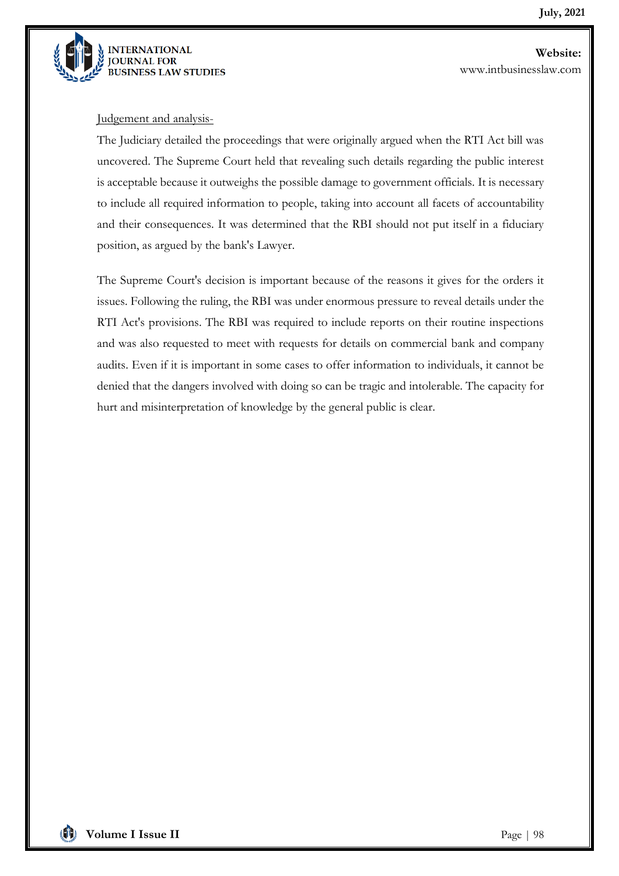

#### Judgement and analysis-

The Judiciary detailed the proceedings that were originally argued when the RTI Act bill was uncovered. The Supreme Court held that revealing such details regarding the public interest is acceptable because it outweighs the possible damage to government officials. It is necessary to include all required information to people, taking into account all facets of accountability and their consequences. It was determined that the RBI should not put itself in a fiduciary position, as argued by the bank's Lawyer.

The Supreme Court's decision is important because of the reasons it gives for the orders it issues. Following the ruling, the RBI was under enormous pressure to reveal details under the RTI Act's provisions. The RBI was required to include reports on their routine inspections and was also requested to meet with requests for details on commercial bank and company audits. Even if it is important in some cases to offer information to individuals, it cannot be denied that the dangers involved with doing so can be tragic and intolerable. The capacity for hurt and misinterpretation of knowledge by the general public is clear.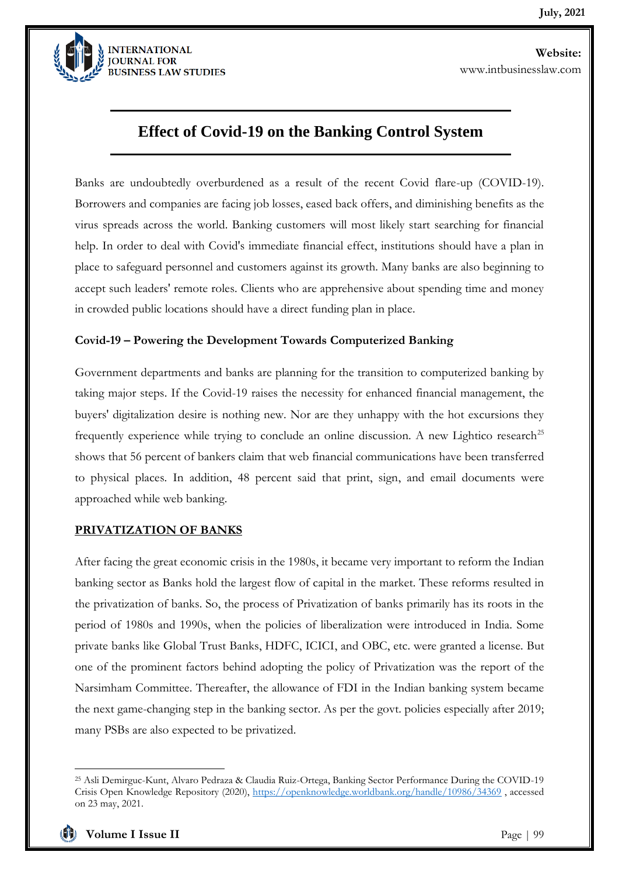

### **Effect of Covid-19 on the Banking Control System**

Banks are undoubtedly overburdened as a result of the recent Covid flare-up (COVID-19). Borrowers and companies are facing job losses, eased back offers, and diminishing benefits as the virus spreads across the world. Banking customers will most likely start searching for financial help. In order to deal with Covid's immediate financial effect, institutions should have a plan in place to safeguard personnel and customers against its growth. Many banks are also beginning to accept such leaders' remote roles. Clients who are apprehensive about spending time and money in crowded public locations should have a direct funding plan in place.

#### **Covid-19 – Powering the Development Towards Computerized Banking**

Government departments and banks are planning for the transition to computerized banking by taking major steps. If the Covid-19 raises the necessity for enhanced financial management, the buyers' digitalization desire is nothing new. Nor are they unhappy with the hot excursions they frequently experience while trying to conclude an online discussion. A new Lightico research<sup>25</sup> shows that 56 percent of bankers claim that web financial communications have been transferred to physical places. In addition, 48 percent said that print, sign, and email documents were approached while web banking.

#### **PRIVATIZATION OF BANKS**

After facing the great economic crisis in the 1980s, it became very important to reform the Indian banking sector as Banks hold the largest flow of capital in the market. These reforms resulted in the privatization of banks. So, the process of Privatization of banks primarily has its roots in the period of 1980s and 1990s, when the policies of liberalization were introduced in India. Some private banks like Global Trust Banks, HDFC, ICICI, and OBC, etc. were granted a license. But one of the prominent factors behind adopting the policy of Privatization was the report of the Narsimham Committee. Thereafter, the allowance of FDI in the Indian banking system became the next game-changing step in the banking sector. As per the govt. policies especially after 2019; many PSBs are also expected to be privatized.



<sup>25</sup> Asli Demirguc-Kunt, Alvaro Pedraza & Claudia Ruiz-Ortega, Banking Sector Performance During the COVID-19 Crisis Open Knowledge Repository (2020),<https://openknowledge.worldbank.org/handle/10986/34369> , accessed on 23 may, 2021.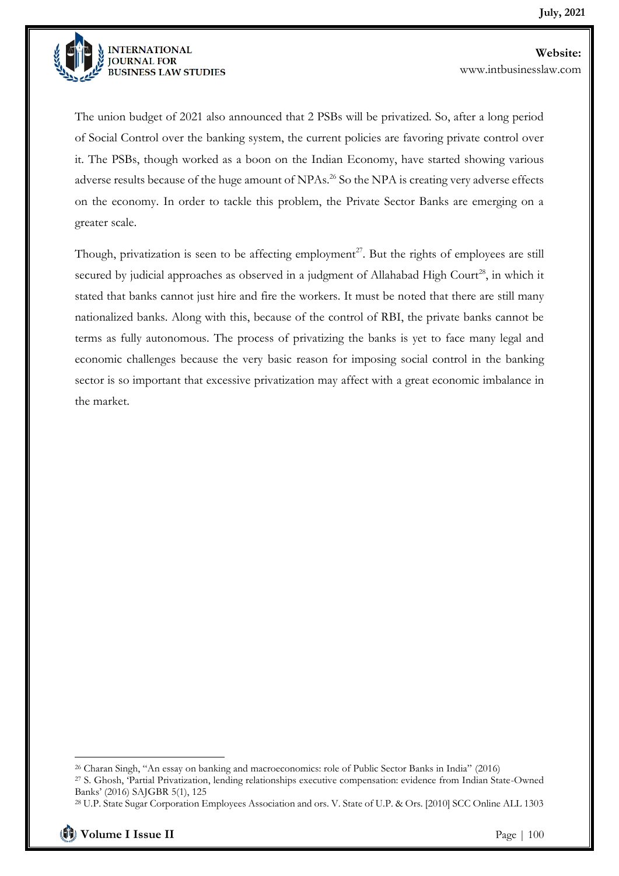

The union budget of 2021 also announced that 2 PSBs will be privatized. So, after a long period of Social Control over the banking system, the current policies are favoring private control over it. The PSBs, though worked as a boon on the Indian Economy, have started showing various adverse results because of the huge amount of NPAs.<sup>26</sup> So the NPA is creating very adverse effects on the economy. In order to tackle this problem, the Private Sector Banks are emerging on a greater scale.

Though, privatization is seen to be affecting employment<sup>27</sup>. But the rights of employees are still secured by judicial approaches as observed in a judgment of Allahabad High Court<sup>28</sup>, in which it stated that banks cannot just hire and fire the workers. It must be noted that there are still many nationalized banks. Along with this, because of the control of RBI, the private banks cannot be terms as fully autonomous. The process of privatizing the banks is yet to face many legal and economic challenges because the very basic reason for imposing social control in the banking sector is so important that excessive privatization may affect with a great economic imbalance in the market.

<sup>26</sup> Charan Singh, "An essay on banking and macroeconomics: role of Public Sector Banks in India" (2016) <sup>27</sup> S. Ghosh, 'Partial Privatization, lending relationships executive compensation: evidence from Indian State-Owned Banks' (2016) SAJGBR 5(1), 125

<sup>28</sup> U.P. State Sugar Corporation Employees Association and ors. V. State of U.P. & Ors. [2010] SCC Online ALL 1303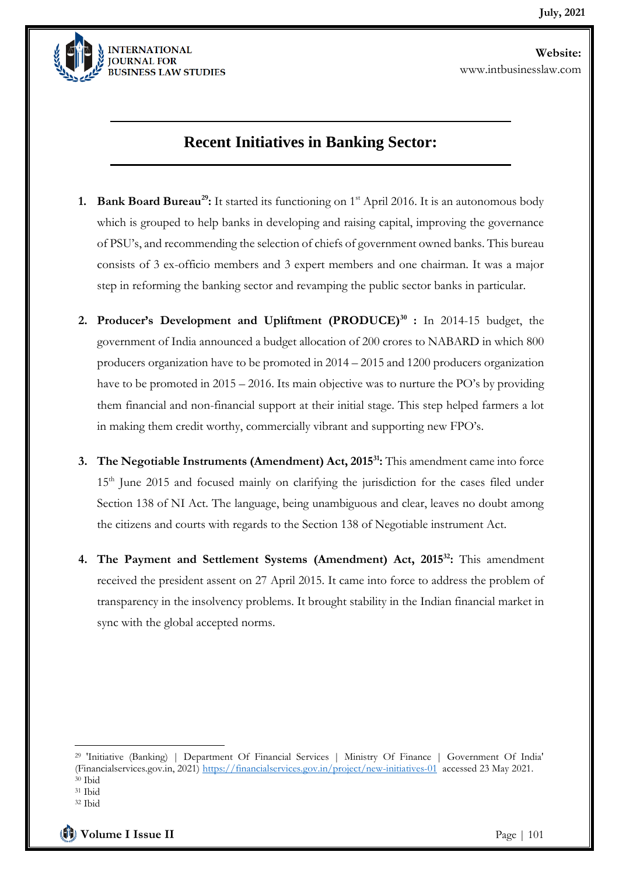

### **Recent Initiatives in Banking Sector:**

- **1. Bank Board Bureau<sup>29</sup>:** It started its functioning on 1st April 2016. It is an autonomous body which is grouped to help banks in developing and raising capital, improving the governance of PSU's, and recommending the selection of chiefs of government owned banks. This bureau consists of 3 ex-officio members and 3 expert members and one chairman. It was a major step in reforming the banking sector and revamping the public sector banks in particular.
- **2. Producer's Development and Upliftment (PRODUCE)<sup>30</sup> :** In 2014-15 budget, the government of India announced a budget allocation of 200 crores to NABARD in which 800 producers organization have to be promoted in 2014 – 2015 and 1200 producers organization have to be promoted in 2015 – 2016. Its main objective was to nurture the PO's by providing them financial and non-financial support at their initial stage. This step helped farmers a lot in making them credit worthy, commercially vibrant and supporting new FPO's.
- **3. The Negotiable Instruments (Amendment) Act, 2015<sup>31</sup>:** This amendment came into force 15<sup>th</sup> June 2015 and focused mainly on clarifying the jurisdiction for the cases filed under Section 138 of NI Act. The language, being unambiguous and clear, leaves no doubt among the citizens and courts with regards to the Section 138 of Negotiable instrument Act.
- **4. The Payment and Settlement Systems (Amendment) Act, 2015<sup>32</sup>:** This amendment received the president assent on 27 April 2015. It came into force to address the problem of transparency in the insolvency problems. It brought stability in the Indian financial market in sync with the global accepted norms.

**Volume I Issue II** Page | 101

<sup>29</sup> 'Initiative (Banking) | Department Of Financial Services | Ministry Of Finance | Government Of India' (Financialservices.gov.in, 2021)<https://financialservices.gov.in/project/new-initiatives-01> accessed 23 May 2021.

<sup>30</sup> Ibid

<sup>31</sup> Ibid

<sup>32</sup> Ibid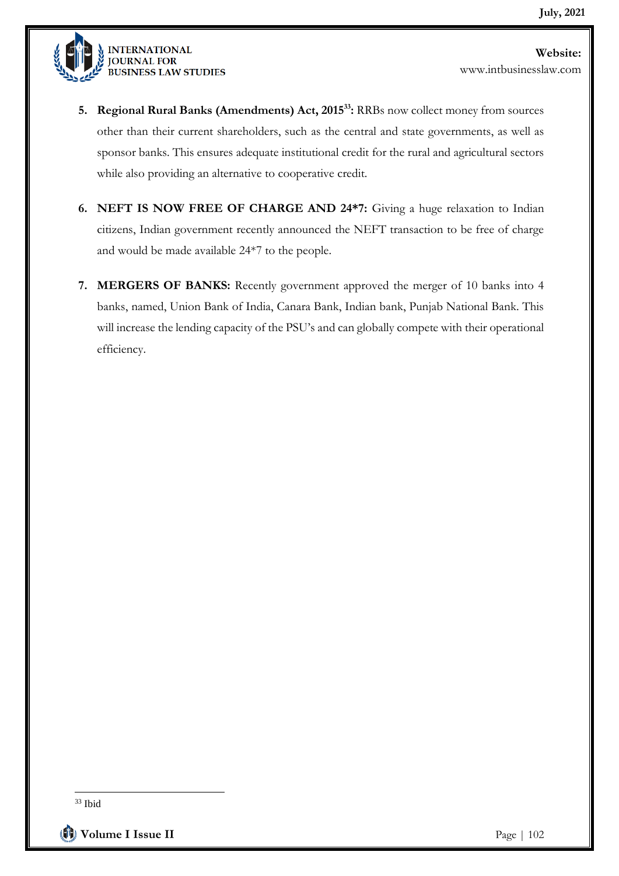

**5. Regional Rural Banks (Amendments) Act, 2015<sup>33</sup>:** RRBs now collect money from sources other than their current shareholders, such as the central and state governments, as well as sponsor banks. This ensures adequate institutional credit for the rural and agricultural sectors while also providing an alternative to cooperative credit.

- **6. NEFT IS NOW FREE OF CHARGE AND 24\*7:** Giving a huge relaxation to Indian citizens, Indian government recently announced the NEFT transaction to be free of charge and would be made available 24\*7 to the people.
- **7. MERGERS OF BANKS:** Recently government approved the merger of 10 banks into 4 banks, named, Union Bank of India, Canara Bank, Indian bank, Punjab National Bank. This will increase the lending capacity of the PSU's and can globally compete with their operational efficiency.

<sup>33</sup> Ibid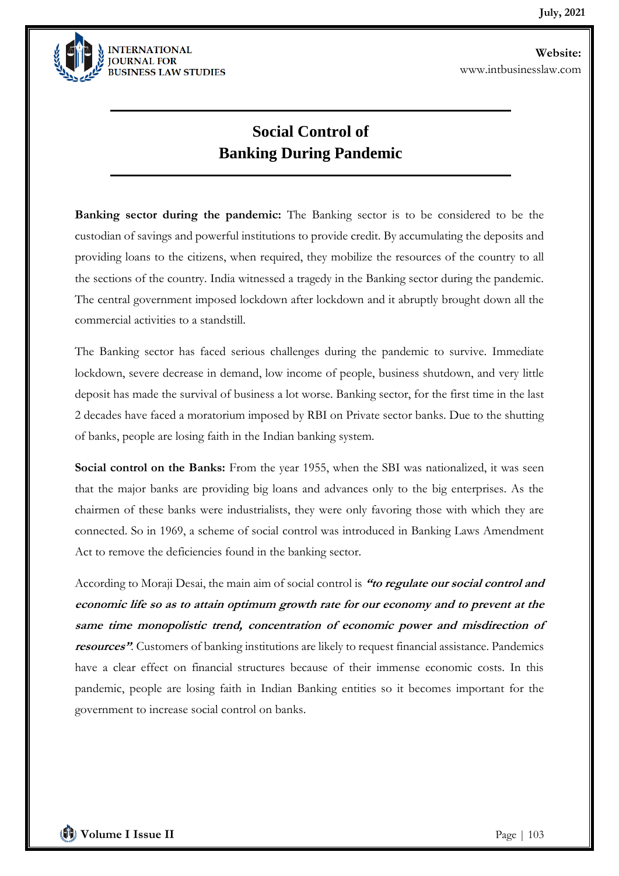

## **Social Control of Banking During Pandemic**

**Banking sector during the pandemic:** The Banking sector is to be considered to be the custodian of savings and powerful institutions to provide credit. By accumulating the deposits and providing loans to the citizens, when required, they mobilize the resources of the country to all the sections of the country. India witnessed a tragedy in the Banking sector during the pandemic. The central government imposed lockdown after lockdown and it abruptly brought down all the commercial activities to a standstill.

The Banking sector has faced serious challenges during the pandemic to survive. Immediate lockdown, severe decrease in demand, low income of people, business shutdown, and very little deposit has made the survival of business a lot worse. Banking sector, for the first time in the last 2 decades have faced a moratorium imposed by RBI on Private sector banks. Due to the shutting of banks, people are losing faith in the Indian banking system.

Social control on the Banks: From the year 1955, when the SBI was nationalized, it was seen that the major banks are providing big loans and advances only to the big enterprises. As the chairmen of these banks were industrialists, they were only favoring those with which they are connected. So in 1969, a scheme of social control was introduced in Banking Laws Amendment Act to remove the deficiencies found in the banking sector.

According to Moraji Desai, the main aim of social control is **"to regulate our social control and economic life so as to attain optimum growth rate for our economy and to prevent at the same time monopolistic trend, concentration of economic power and misdirection of resources"**. Customers of banking institutions are likely to request financial assistance. Pandemics have a clear effect on financial structures because of their immense economic costs. In this pandemic, people are losing faith in Indian Banking entities so it becomes important for the government to increase social control on banks.